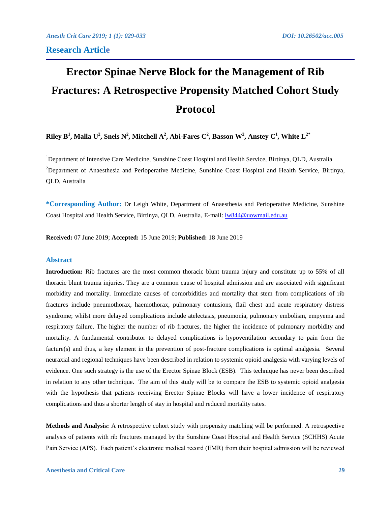# **Erector Spinae Nerve Block for the Management of Rib Fractures: A Retrospective Propensity Matched Cohort Study Protocol**

 ${\bf R}$ iley  ${\bf B}^1,$  Malla  ${\bf U}^2,$  Snels  ${\bf N}^2,$  Mitchell  ${\bf A}^2,$  Abi-Fares  ${\bf C}^2,$  Basson  ${\bf W}^2,$  Anstey  ${\bf C}^1,$  White  ${\bf L}^{2^*}$ 

<sup>1</sup>Department of Intensive Care Medicine, Sunshine Coast Hospital and Health Service, Birtinya, QLD, Australia <sup>2</sup>Department of Anaesthesia and Perioperative Medicine, Sunshine Coast Hospital and Health Service, Birtinya, QLD, Australia

**\*Corresponding Author:** Dr Leigh White, Department of Anaesthesia and Perioperative Medicine, Sunshine Coast Hospital and Health Service, Birtinya, QLD, Australia, E-mail: [lw844@uowmail.edu.au](mailto:lw844@uowmail.edu.au)

**Received:** 07 June 2019; **Accepted:** 15 June 2019; **Published:** 18 June 2019

# **Abstract**

**Introduction:** Rib fractures are the most common thoracic blunt trauma injury and constitute up to 55% of all thoracic blunt trauma injuries. They are a common cause of hospital admission and are associated with significant morbidity and mortality. Immediate causes of comorbidities and mortality that stem from complications of rib fractures include pneumothorax, haemothorax, pulmonary contusions, flail chest and acute respiratory distress syndrome; whilst more delayed complications include atelectasis, pneumonia, pulmonary embolism, empyema and respiratory failure. The higher the number of rib fractures, the higher the incidence of pulmonary morbidity and mortality. A fundamental contributor to delayed complications is hypoventilation secondary to pain from the facture(s) and thus, a key element in the prevention of post-fracture complications is optimal analgesia. Several neuraxial and regional techniques have been described in relation to systemic opioid analgesia with varying levels of evidence. One such strategy is the use of the Erector Spinae Block (ESB). This technique has never been described in relation to any other technique. The aim of this study will be to compare the ESB to systemic opioid analgesia with the hypothesis that patients receiving Erector Spinae Blocks will have a lower incidence of respiratory complications and thus a shorter length of stay in hospital and reduced mortality rates.

**Methods and Analysis:** A retrospective cohort study with propensity matching will be performed. A retrospective analysis of patients with rib fractures managed by the Sunshine Coast Hospital and Health Service (SCHHS) Acute Pain Service (APS). Each patient's electronic medical record (EMR) from their hospital admission will be reviewed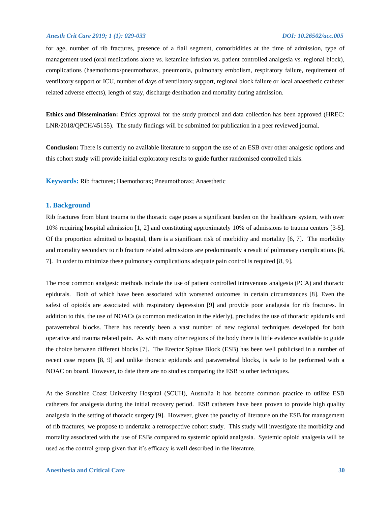for age, number of rib fractures, presence of a flail segment, comorbidities at the time of admission, type of management used (oral medications alone vs. ketamine infusion vs. patient controlled analgesia vs. regional block), complications (haemothorax/pneumothorax, pneumonia, pulmonary embolism, respiratory failure, requirement of ventilatory support or ICU, number of days of ventilatory support, regional block failure or local anaesthetic catheter related adverse effects), length of stay, discharge destination and mortality during admission.

**Ethics and Dissemination:** Ethics approval for the study protocol and data collection has been approved (HREC: LNR/2018/QPCH/45155). The study findings will be submitted for publication in a peer reviewed journal.

**Conclusion:** There is currently no available literature to support the use of an ESB over other analgesic options and this cohort study will provide initial exploratory results to guide further randomised controlled trials.

**Keywords:** Rib fractures; Haemothorax; Pneumothorax; Anaesthetic

### **1. Background**

Rib fractures from blunt trauma to the thoracic cage poses a significant burden on the healthcare system, with over 10% requiring hospital admission [1, 2] and constituting approximately 10% of admissions to trauma centers [3-5]. Of the proportion admitted to hospital, there is a significant risk of morbidity and mortality [6, 7]. The morbidity and mortality secondary to rib fracture related admissions are predominantly a result of pulmonary complications [6, 7]. In order to minimize these pulmonary complications adequate pain control is required [8, 9].

The most common analgesic methods include the use of patient controlled intravenous analgesia (PCA) and thoracic epidurals. Both of which have been associated with worsened outcomes in certain circumstances [8]. Even the safest of opioids are associated with respiratory depression [9] and provide poor analgesia for rib fractures. In addition to this, the use of NOACs (a common medication in the elderly), precludes the use of thoracic epidurals and paravertebral blocks. There has recently been a vast number of new regional techniques developed for both operative and trauma related pain. As with many other regions of the body there is little evidence available to guide the choice between different blocks [7]. The Erector Spinae Block (ESB) has been well publicised in a number of recent case reports [8, 9] and unlike thoracic epidurals and paravertebral blocks, is safe to be performed with a NOAC on board. However, to date there are no studies comparing the ESB to other techniques.

At the Sunshine Coast University Hospital (SCUH), Australia it has become common practice to utilize ESB catheters for analgesia during the initial recovery period. ESB catheters have been proven to provide high quality analgesia in the setting of thoracic surgery [9]. However, given the paucity of literature on the ESB for management of rib fractures, we propose to undertake a retrospective cohort study. This study will investigate the morbidity and mortality associated with the use of ESBs compared to systemic opioid analgesia. Systemic opioid analgesia will be used as the control group given that it's efficacy is well described in the literature.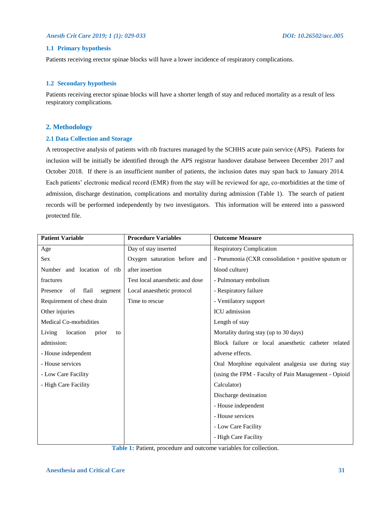# **1.1 Primary hypothesis**

Patients receiving erector spinae blocks will have a lower incidence of respiratory complications.

# **1.2 Secondary hypothesis**

Patients receiving erector spinae blocks will have a shorter length of stay and reduced mortality as a result of less respiratory complications.

# **2. Methodology**

# **2.1 Data Collection and Storage**

A retrospective analysis of patients with rib fractures managed by the SCHHS acute pain service (APS). Patients for inclusion will be initially be identified through the APS registrar handover database between December 2017 and October 2018. If there is an insufficient number of patients, the inclusion dates may span back to January 2014. Each patients' electronic medical record (EMR) from the stay will be reviewed for age, co-morbidities at the time of admission, discharge destination, complications and mortality during admission (Table 1). The search of patient records will be performed independently by two investigators. This information will be entered into a password protected file.

| <b>Patient Variable</b>            | <b>Procedure Variables</b>      | <b>Outcome Measure</b>                               |
|------------------------------------|---------------------------------|------------------------------------------------------|
| Age                                | Day of stay inserted            | <b>Respiratory Complication</b>                      |
| Sex                                | Oxygen saturation before and    | - Pneumonia (CXR consolidation + positive sputum or  |
| Number and location of rib         | after insertion                 | blood culture)                                       |
| fractures                          | Test local anaesthetic and dose | - Pulmonary embolism                                 |
| flail<br>Presence<br>of<br>segment | Local anaesthetic protocol      | - Respiratory failure                                |
| Requirement of chest drain         | Time to rescue                  | - Ventilatory support                                |
| Other injuries                     |                                 | ICU admission                                        |
| <b>Medical Co-morbidities</b>      |                                 | Length of stay                                       |
| location<br>Living<br>prior<br>to  |                                 | Mortality during stay (up to 30 days)                |
| admission:                         |                                 | Block failure or local anaesthetic catheter related  |
| - House independent                |                                 | adverse effects.                                     |
| - House services                   |                                 | Oral Morphine equivalent analgesia use during stay   |
| - Low Care Facility                |                                 | (using the FPM - Faculty of Pain Management - Opioid |
| - High Care Facility               |                                 | Calculator)                                          |
|                                    |                                 | Discharge destination                                |
|                                    |                                 | - House independent                                  |
|                                    |                                 | - House services                                     |
|                                    |                                 | - Low Care Facility                                  |
|                                    |                                 | - High Care Facility                                 |

**Table 1:** Patient, procedure and outcome variables for collection.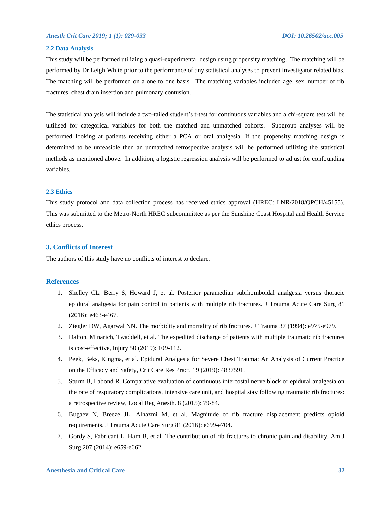#### **2.2 Data Analysis**

This study will be performed utilizing a quasi-experimental design using propensity matching. The matching will be performed by Dr Leigh White prior to the performance of any statistical analyses to prevent investigator related bias. The matching will be performed on a one to one basis. The matching variables included age, sex, number of rib fractures, chest drain insertion and pulmonary contusion.

The statistical analysis will include a two-tailed student's t-test for continuous variables and a chi-square test will be ultilised for categorical variables for both the matched and unmatched cohorts. Subgroup analyses will be performed looking at patients receiving either a PCA or oral analgesia. If the propensity matching design is determined to be unfeasible then an unmatched retrospective analysis will be performed utilizing the statistical methods as mentioned above. In addition, a logistic regression analysis will be performed to adjust for confounding variables.

### **2.3 Ethics**

This study protocol and data collection process has received ethics approval (HREC: LNR/2018/QPCH/45155). This was submitted to the Metro-North HREC subcommittee as per the Sunshine Coast Hospital and Health Service ethics process.

### **3. Conflicts of Interest**

The authors of this study have no conflicts of interest to declare.

### **References**

- 1. Shelley CL, Berry S, Howard J, et al. Posterior paramedian subrhomboidal analgesia versus thoracic epidural analgesia for pain control in patients with multiple rib fractures. J Trauma Acute Care Surg 81 (2016): e463-e467.
- 2. Ziegler DW, Agarwal NN. The morbidity and mortality of rib fractures. J Trauma 37 (1994): e975-e979.
- 3. Dalton, Minarich, Twaddell, et al. The expedited discharge of patients with multiple traumatic rib fractures is cost-effective, Injury 50 (2019): 109-112.
- 4. Peek, Beks, Kingma, et al. Epidural Analgesia for Severe Chest Trauma: An Analysis of Current Practice on the Efficacy and Safety, Crit Care Res Pract. 19 (2019): 4837591.
- 5. Sturm B, Labond R. Comparative evaluation of continuous intercostal nerve block or epidural analgesia on the rate of respiratory complications, intensive care unit, and hospital stay following traumatic rib fractures: a retrospective review, [Local Reg Anesth.](https://www.ncbi.nlm.nih.gov/pubmed/26604819) 8 (2015): 79-84.
- 6. Bugaev N, Breeze JL, Alhazmi M, et al. Magnitude of rib fracture displacement predicts opioid requirements. J Trauma Acute Care Surg 81 (2016): e699-e704.
- 7. Gordy S, Fabricant L, Ham B, et al. The contribution of rib fractures to chronic pain and disability. Am J Surg 207 (2014): e659-e662.